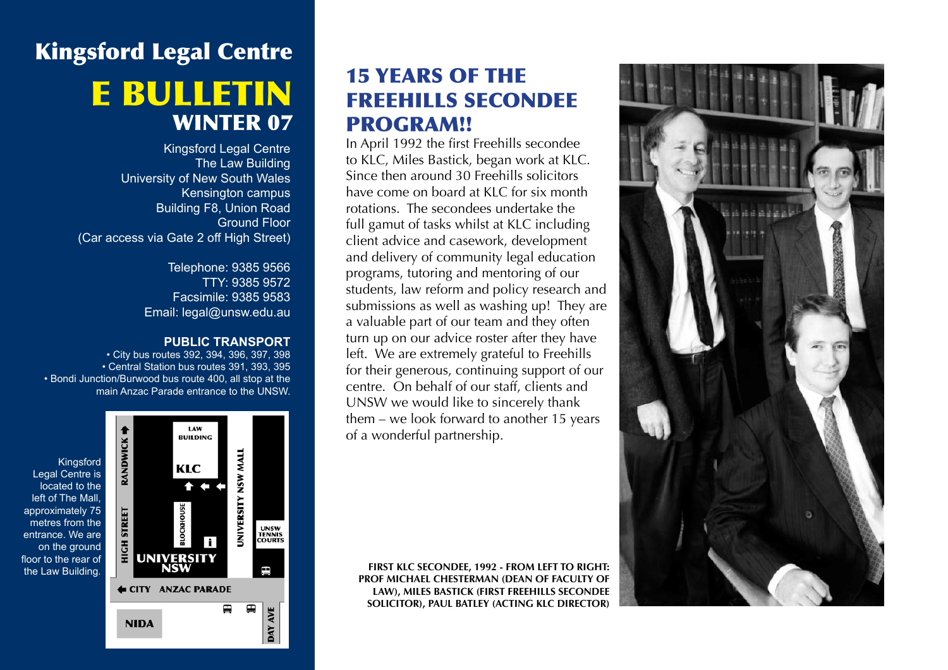# Kingsford Legal Centre e bulletin WINTER 07

Kingsford Legal Centre The Law Building University of New South Wales Kensington campus Building F8, Union Road Ground Floor (Car access via Gate 2 off High Street)

> Telephone: 9385 9566 TTY: 9385 9572 Facsimile: 9385 9583 Email: legal@unsw.edu.au

#### **PUBLIC TRANSPORT**

• City bus routes 392, 394, 396, 397, 398 • Central Station bus routes 391, 393, 395 • Bondi Junction/Burwood bus route 400, all stop at the main Anzac Parade entrance to the UNSW.



# 15 Years of the Freehills Secondee PROGRAM!!

In April 1992 the first Freehills secondee to KLC, Miles Bastick, began work at KLC. Since then around 30 Freehills solicitors have come on board at KLC for six month rotations. The secondees undertake the full gamut of tasks whilst at KLC including client advice and casework, development and delivery of community legal education programs, tutoring and mentoring of our students, law reform and policy research and submissions as well as washing up! They are a valuable part of our team and they often turn up on our advice roster after they have left. We are extremely grateful to Freehills for their generous, continuing support of our centre. On behalf of our staff, clients and UNSW we would like to sincerely thank them – we look forward to another 15 years of a wonderful partnership.

**First KLC Secondee, 1992 - From left to right: Prof Michael Chesterman (Dean of Faculty of Law), Miles Bastick (first Freehills secondee solicitor), Paul Batley (Acting KLC Director)**

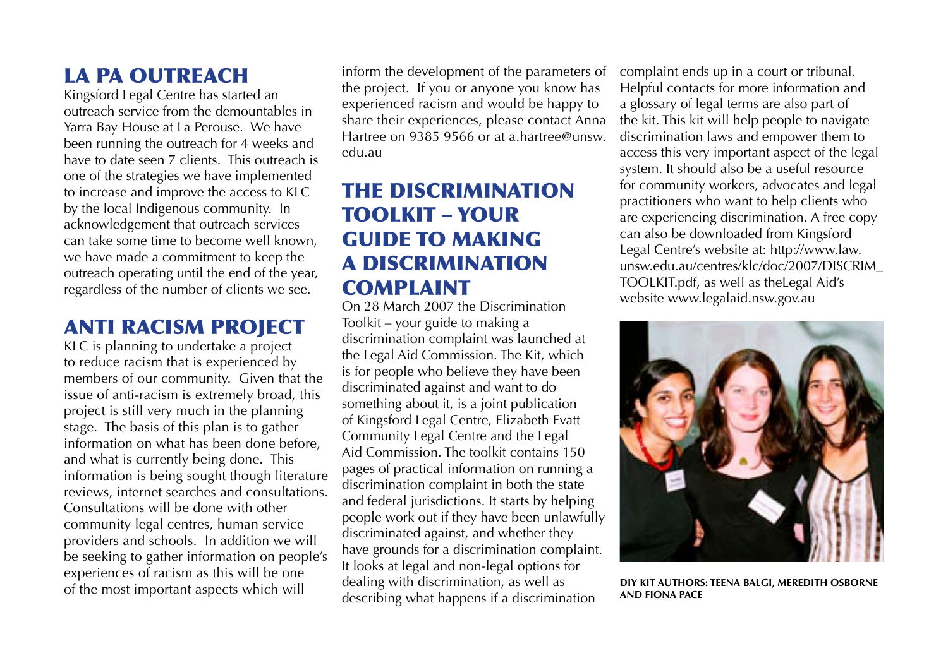#### LA PA OUTREACH

Kingsford Legal Centre has started an outreach service from the demountables in Yarra Bay House at La Perouse. We have been running the outreach for 4 weeks and have to date seen 7 clients. This outreach is one of the strategies we have implemented to increase and improve the access to KLC by the local Indigenous community. In acknowledgement that outreach services can take some time to become well known, we have made a commitment to keep the outreach operating until the end of the year, regardless of the number of clients we see.

# Anti Racism Project

KLC is planning to undertake a project to reduce racism that is experienced by members of our community. Given that the issue of anti-racism is extremely broad, this project is still very much in the planning stage. The basis of this plan is to gather information on what has been done before, and what is currently being done. This information is being sought though literature reviews, internet searches and consultations. Consultations will be done with other community legal centres, human service providers and schools. In addition we will be seeking to gather information on people's experiences of racism as this will be one of the most important aspects which will

inform the development of the parameters of the project. If you or anyone you know has experienced racism and would be happy to share their experiences, please contact Anna Hartree on 9385 9566 or at a.hartree@unsw. edu.au

# The Discrimination Toolkit – your guide to making a discrimination **COMPLAINT**

On 28 March 2007 the Discrimination Toolkit – your guide to making a discrimination complaint was launched at the Legal Aid Commission. The Kit, which is for people who believe they have been discriminated against and want to do something about it, is a joint publication of Kingsford Legal Centre, Elizabeth Evatt Community Legal Centre and the Legal Aid Commission. The toolkit contains 150 pages of practical information on running a discrimination complaint in both the state and federal jurisdictions. It starts by helping people work out if they have been unlawfully discriminated against, and whether they have grounds for a discrimination complaint. It looks at legal and non-legal options for dealing with discrimination, as well as describing what happens if a discrimination

complaint ends up in a court or tribunal. Helpful contacts for more information and a glossary of legal terms are also part of the kit. This kit will help people to navigate discrimination laws and empower them to access this very important aspect of the legal system. It should also be a useful resource for community workers, advocates and legal practitioners who want to help clients who are experiencing discrimination. A free copy can also be downloaded from Kingsford Legal Centre's website at: http://www.law. unsw.edu.au/centres/klc/doc/2007/DISCRIM\_ TOOLKIT.pdf, as well as theLegal Aid's website www.legalaid.nsw.gov.au



**DIY Kit Authors: Teena Balgi, Meredith Osborne and Fiona Pace**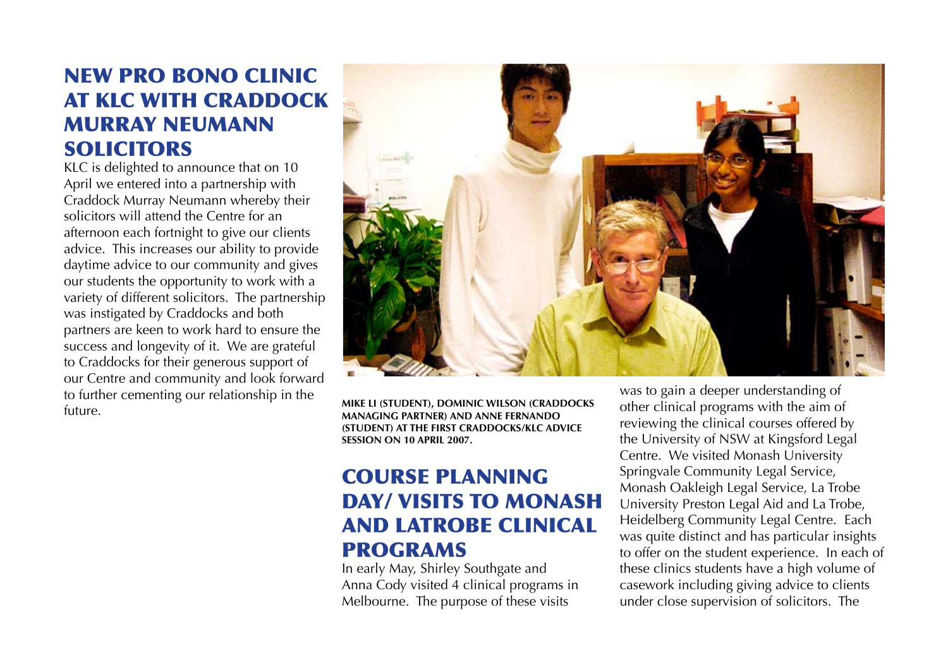### New Pro bono clinic at KLC with Craddock Murray Neumann **SOLICITORS**

KLC is delighted to announce that on 10 April we entered into a partnership with Craddock Murray Neumann whereby their solicitors will attend the Centre for an afternoon each fortnight to give our clients advice. This increases our ability to provide daytime advice to our community and gives our students the opportunity to work with a variety of different solicitors. The partnership was instigated by Craddocks and both partners are keen to work hard to ensure the success and longevity of it. We are grateful to Craddocks for their generous support of our Centre and community and look forward to further cementing our relationship in the future. **Mike Li (student), Dominic Wilson (Craddocks** 



**Managing Partner) and Anne Fernando (student) at the first Craddocks/KLC advice session on 10 April 2007.**

### Course planning day/ visits to Monash and Latrobe clinical programs

In early May, Shirley Southgate and Anna Cody visited 4 clinical programs in Melbourne. The purpose of these visits

was to gain a deeper understanding of other clinical programs with the aim of reviewing the clinical courses offered by the University of NSW at Kingsford Legal Centre. We visited Monash University Springvale Community Legal Service, Monash Oakleigh Legal Service, La Trobe University Preston Legal Aid and La Trobe, Heidelberg Community Legal Centre. Each was quite distinct and has particular insights to offer on the student experience. In each of these clinics students have a high volume of casework including giving advice to clients under close supervision of solicitors. The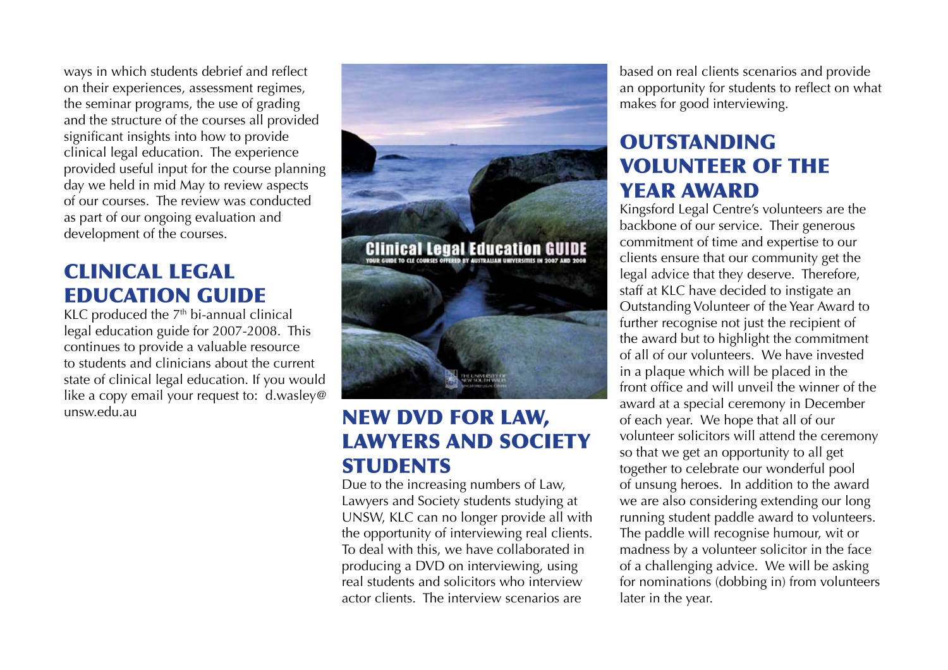ways in which students debrief and reflect on their experiences, assessment regimes, the seminar programs, the use of grading and the structure of the courses all provided significant insights into how to provide clinical legal education. The experience provided useful input for the course planning day we held in mid May to review aspects of our courses. The review was conducted as part of our ongoing evaluation and development of the courses.

#### Clinical legal education guide

KLC produced the  $7<sup>th</sup>$  bi-annual clinical legal education guide for 2007-2008. This continues to provide a valuable resource to students and clinicians about the current state of clinical legal education. If you would like a copy email your request to: d.wasley@



# unsw.edu.au **NEW DVD FOR LAW,** Lawyers and Society **STUDENTS**

Due to the increasing numbers of Law, Lawyers and Society students studying at UNSW, KLC can no longer provide all with the opportunity of interviewing real clients. To deal with this, we have collaborated in producing a DVD on interviewing, using real students and solicitors who interview actor clients. The interview scenarios are

based on real clients scenarios and provide an opportunity for students to reflect on what makes for good interviewing.

### **OUTSTANDING** Volunteer of the **YFAR AWARD**

Kingsford Legal Centre's volunteers are the backbone of our service. Their generous commitment of time and expertise to our clients ensure that our community get the legal advice that they deserve. Therefore, staff at KLC have decided to instigate an Outstanding Volunteer of the Year Award to further recognise not just the recipient of the award but to highlight the commitment of all of our volunteers. We have invested in a plaque which will be placed in the front office and will unveil the winner of the award at a special ceremony in December of each year. We hope that all of our volunteer solicitors will attend the ceremony so that we get an opportunity to all get together to celebrate our wonderful pool of unsung heroes. In addition to the award we are also considering extending our long running student paddle award to volunteers. The paddle will recognise humour, wit or madness by a volunteer solicitor in the face of a challenging advice. We will be asking for nominations (dobbing in) from volunteers later in the year.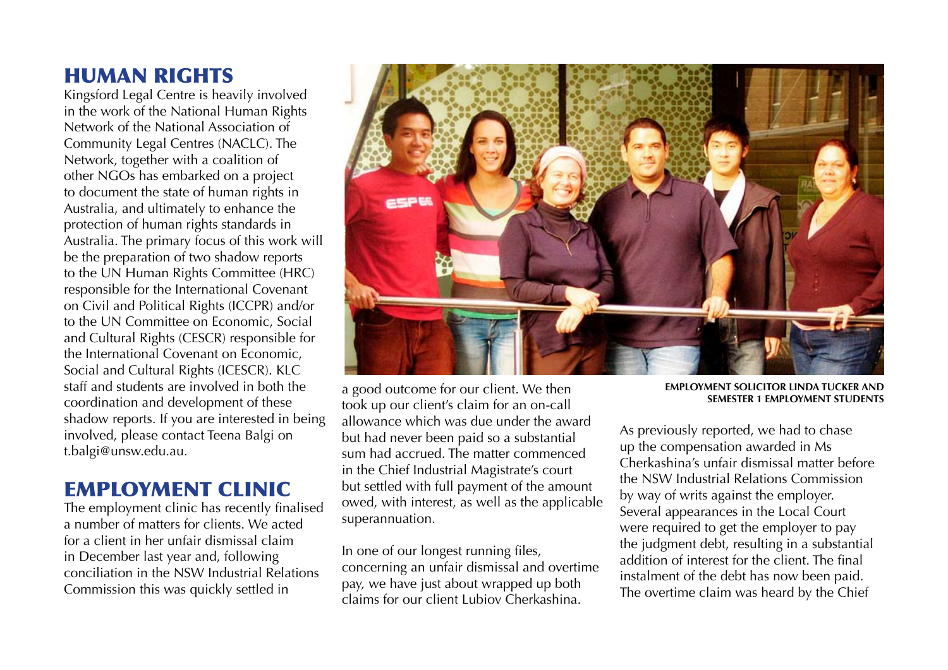#### Human Rights

Kingsford Legal Centre is heavily involved in the work of the National Human Rights Network of the National Association of Community Legal Centres (NACLC). The Network, together with a coalition of other NGOs has embarked on a project to document the state of human rights in Australia, and ultimately to enhance the protection of human rights standards in Australia. The primary focus of this work will be the preparation of two shadow reports to the UN Human Rights Committee (HRC) responsible for the International Covenant on Civil and Political Rights (ICCPR) and/or to the UN Committee on Economic, Social and Cultural Rights (CESCR) responsible for the International Covenant on Economic, Social and Cultural Rights (ICESCR). KLC staff and students are involved in both the coordination and development of these shadow reports. If you are interested in being involved, please contact Teena Balgi on t.balgi@unsw.edu.au.

#### Employment Clinic

The employment clinic has recently finalised a number of matters for clients. We acted for a client in her unfair dismissal claim in December last year and, following conciliation in the NSW Industrial Relations Commission this was quickly settled in



a good outcome for our client. We then took up our client's claim for an on-call allowance which was due under the award but had never been paid so a substantial sum had accrued. The matter commenced in the Chief Industrial Magistrate's court but settled with full payment of the amount owed, with interest, as well as the applicable superannuation.

In one of our longest running files, concerning an unfair dismissal and overtime pay, we have just about wrapped up both claims for our client Lubiov Cherkashina.

**Employment solicitor Linda Tucker and SEMESTER 1 EMPLOYMENT STUDENTS** 

As previously reported, we had to chase up the compensation awarded in Ms Cherkashina's unfair dismissal matter before the NSW Industrial Relations Commission by way of writs against the employer. Several appearances in the Local Court were required to get the employer to pay the judgment debt, resulting in a substantial addition of interest for the client. The final instalment of the debt has now been paid. The overtime claim was heard by the Chief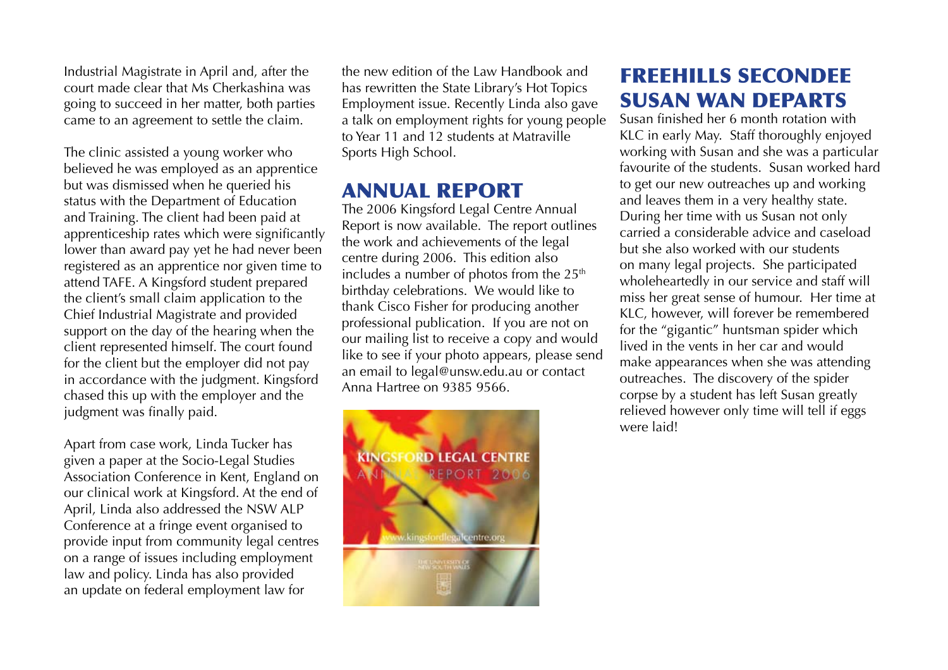Industrial Magistrate in April and, after the court made clear that Ms Cherkashina was going to succeed in her matter, both parties came to an agreement to settle the claim.

The clinic assisted a young worker who believed he was employed as an apprentice but was dismissed when he queried his status with the Department of Education and Training. The client had been paid at apprenticeship rates which were significantly lower than award pay yet he had never been registered as an apprentice nor given time to attend TAFE. A Kingsford student prepared the client's small claim application to the Chief Industrial Magistrate and provided support on the day of the hearing when the client represented himself. The court found for the client but the employer did not pay in accordance with the judgment. Kingsford chased this up with the employer and the judgment was finally paid.

Apart from case work, Linda Tucker has given a paper at the Socio-Legal Studies Association Conference in Kent, England on our clinical work at Kingsford. At the end of April, Linda also addressed the NSW ALP Conference at a fringe event organised to provide input from community legal centres on a range of issues including employment law and policy. Linda has also provided an update on federal employment law for

the new edition of the Law Handbook and has rewritten the State Library's Hot Topics Employment issue. Recently Linda also gave a talk on employment rights for young people to Year 11 and 12 students at Matraville Sports High School.

#### Annual Report

The 2006 Kingsford Legal Centre Annual Report is now available. The report outlines the work and achievements of the legal centre during 2006. This edition also includes a number of photos from the  $25<sup>th</sup>$ birthday celebrations. We would like to thank Cisco Fisher for producing another professional publication. If you are not on our mailing list to receive a copy and would like to see if your photo appears, please send an email to legal@unsw.edu.au or contact Anna Hartree on 9385 9566.



# Freehills Secondee Susan Wan departs

Susan finished her 6 month rotation with KLC in early May. Staff thoroughly enjoyed working with Susan and she was a particular favourite of the students. Susan worked hard to get our new outreaches up and working and leaves them in a very healthy state. During her time with us Susan not only carried a considerable advice and caseload but she also worked with our students on many legal projects. She participated wholeheartedly in our service and staff will miss her great sense of humour. Her time at KLC, however, will forever be remembered for the "gigantic" huntsman spider which lived in the vents in her car and would make appearances when she was attending outreaches. The discovery of the spider corpse by a student has left Susan greatly relieved however only time will tell if eggs were laid!